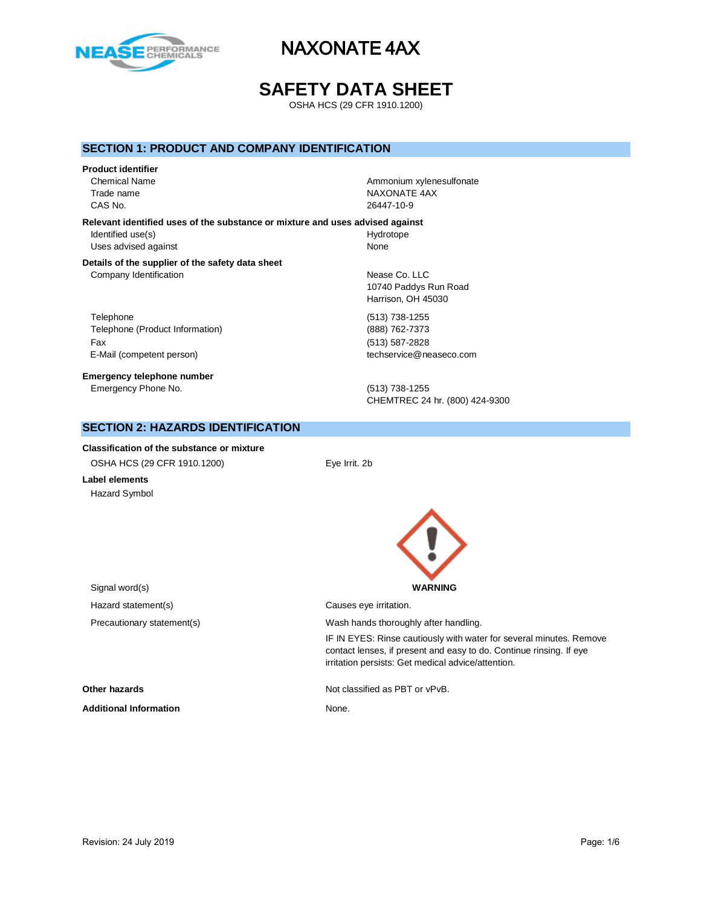

# **SAFETY DATA SHEET**

OSHA HCS (29 CFR 1910.1200)

## **SECTION 1: PRODUCT AND COMPANY IDENTIFICATION**

#### **Product identifier**

CAS No. 26447-10-9

Chemical Name **Ammonium xylenesulfonate Ammonium xylenesulfonate** Trade name NAXONATE 4AX

**Relevant identified uses of the substance or mixture and uses advised against** Identified use(s) and the extent of the Hydrotope Hydrotope Uses advised against None

#### **Details of the supplier of the safety data sheet** Company Identification **Nearly 19** Nease Co. LLC

Telephone (513) 738-1255 Telephone (Product Information) (888) 762-7373 Fax (513) 587-2828 E-Mail (competent person) example a second techservice@neaseco.com

**Emergency telephone number** Emergency Phone No. (513) 738-1255

10740 Paddys Run Road Harrison, OH 45030

CHEMTREC 24 hr. (800) 424-9300

# **SECTION 2: HAZARDS IDENTIFICATION**

**Classification of the substance or mixture** OSHA HCS (29 CFR 1910.1200) Eye Irrit. 2b

**Label elements** Hazard Symbol



irritation persists: Get medical advice/attention.

IF IN EYES: Rinse cautiously with water for several minutes. Remove contact lenses, if present and easy to do. Continue rinsing. If eye

Signal word(s) **WARNING** Hazard statement(s) example a control causes eye irritation. Precautionary statement(s) example a wash hands thoroughly after handling.

**Other hazards Other hazards Not classified as PBT or vPvB.** 

**Additional Information** None.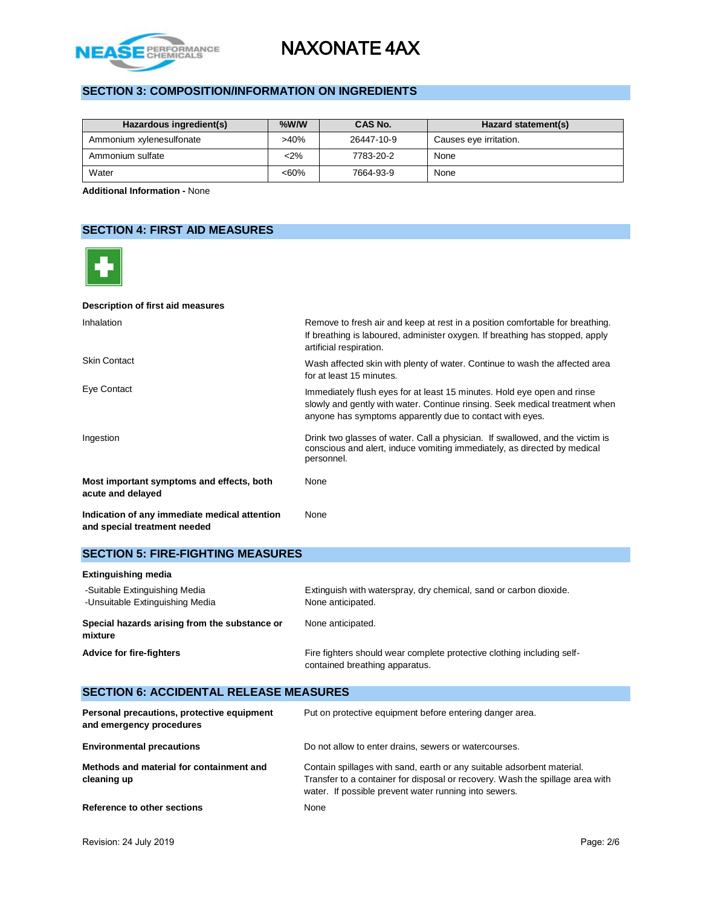

# **SECTION 3: COMPOSITION/INFORMATION ON INGREDIENTS**

| Hazardous ingredient(s)  | $%$ W/W | CAS No.    | Hazard statement(s)    |
|--------------------------|---------|------------|------------------------|
| Ammonium xylenesulfonate | >40%    | 26447-10-9 | Causes eye irritation. |
| Ammonium sulfate         | $2\%$   | 7783-20-2  | None                   |
| Water                    | $<60\%$ | 7664-93-9  | None                   |

**Additional Information -** None

# **SECTION 4: FIRST AID MEASURES**



#### **Description of first aid measures**

| Inhalation                                                                    | Remove to fresh air and keep at rest in a position comfortable for breathing.<br>If breathing is laboured, administer oxygen. If breathing has stopped, apply<br>artificial respiration.                           |
|-------------------------------------------------------------------------------|--------------------------------------------------------------------------------------------------------------------------------------------------------------------------------------------------------------------|
| <b>Skin Contact</b>                                                           | Wash affected skin with plenty of water. Continue to wash the affected area<br>for at least 15 minutes.                                                                                                            |
| Eye Contact                                                                   | Immediately flush eyes for at least 15 minutes. Hold eye open and rinse<br>slowly and gently with water. Continue rinsing. Seek medical treatment when<br>anyone has symptoms apparently due to contact with eyes. |
| Ingestion                                                                     | Drink two glasses of water. Call a physician. If swallowed, and the victim is<br>conscious and alert, induce vomiting immediately, as directed by medical<br>personnel.                                            |
| Most important symptoms and effects, both<br>acute and delayed                | None                                                                                                                                                                                                               |
| Indication of any immediate medical attention<br>and special treatment needed | None                                                                                                                                                                                                               |

## **SECTION 5: FIRE-FIGHTING MEASURES**

| Extinguishing media                                              |                                                                                                          |
|------------------------------------------------------------------|----------------------------------------------------------------------------------------------------------|
| -Suitable Extinguishing Media<br>-Unsuitable Extinguishing Media | Extinguish with waterspray, dry chemical, sand or carbon dioxide.<br>None anticipated.                   |
| Special hazards arising from the substance or<br>mixture         | None anticipated.                                                                                        |
| <b>Advice for fire-fighters</b>                                  | Fire fighters should wear complete protective clothing including self-<br>contained breathing apparatus. |

### **SECTION 6: ACCIDENTAL RELEASE MEASURES Personal precautions, protective equipment and emergency procedures** Put on protective equipment before entering danger area. **Environmental precautions Do not allow to enter drains, sewers or watercourses. Methods and material for containment and cleaning up** Contain spillages with sand, earth or any suitable adsorbent material. Transfer to a container for disposal or recovery. Wash the spillage area with water. If possible prevent water running into sewers. **Reference to other sections** None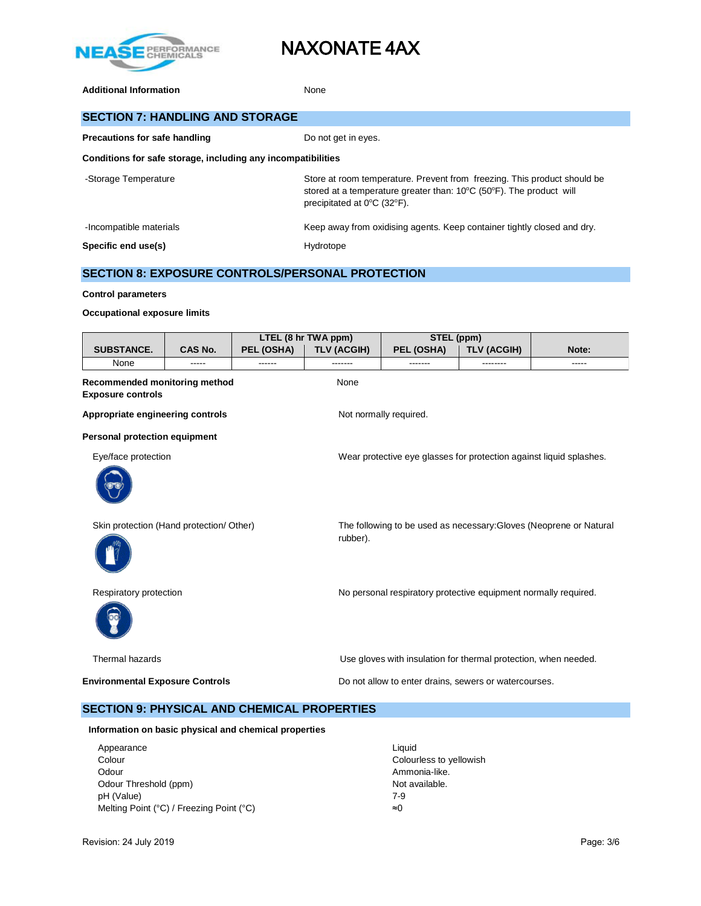

Additional Information **None** None

| <b>SECTION 7: HANDLING AND STORAGE</b>                                                                                                                                                                                      |                                                      |            |                     |            |             |       |
|-----------------------------------------------------------------------------------------------------------------------------------------------------------------------------------------------------------------------------|------------------------------------------------------|------------|---------------------|------------|-------------|-------|
|                                                                                                                                                                                                                             | Precautions for safe handling<br>Do not get in eyes. |            |                     |            |             |       |
| Conditions for safe storage, including any incompatibilities                                                                                                                                                                |                                                      |            |                     |            |             |       |
| Store at room temperature. Prevent from freezing. This product should be<br>-Storage Temperature<br>stored at a temperature greater than: $10^{\circ}$ C (50 $^{\circ}$ F). The product will<br>precipitated at 0°C (32°F). |                                                      |            |                     |            |             |       |
| Keep away from oxidising agents. Keep container tightly closed and dry.<br>-Incompatible materials                                                                                                                          |                                                      |            |                     |            |             |       |
| Specific end use(s)                                                                                                                                                                                                         | Hydrotope                                            |            |                     |            |             |       |
| <b>SECTION 8: EXPOSURE CONTROLS/PERSONAL PROTECTION</b>                                                                                                                                                                     |                                                      |            |                     |            |             |       |
| <b>Control parameters</b>                                                                                                                                                                                                   |                                                      |            |                     |            |             |       |
| Occupational exposure limits                                                                                                                                                                                                |                                                      |            |                     |            |             |       |
|                                                                                                                                                                                                                             |                                                      |            | LTEL (8 hr TWA ppm) | STEL (ppm) |             |       |
| <b>SUBSTANCE.</b>                                                                                                                                                                                                           | CAS No.                                              | PEL (OSHA) | TLV (ACGIH)         | PEL (OSHA) | TLV (ACGIH) | Note: |

None ----- ------ ------- ------- -------- ----- **Recommended monitoring method** None **Exposure controls** Appropriate engineering controls **Notify Appropriate engineering controls** Not normally required. **Personal protection equipment** Eye/face protection Wear protective eye glasses for protection against liquid splashes. Skin protection (Hand protection/ Other) The following to be used as necessary:Gloves (Neoprene or Natural rubber). Respiratory protection **No personal respiratory protective equipment normally required.** Thermal hazards Use gloves with insulation for thermal protection, when needed. **Environmental Exposure Controls Do not allow to enter drains, sewers or watercourses.** 

# **SECTION 9: PHYSICAL AND CHEMICAL PROPERTIES**

**Information on basic physical and chemical properties**

| Appearance                               | Liauid                  |
|------------------------------------------|-------------------------|
| Colour                                   | Colourless to yellowish |
| Odour                                    | Ammonia-like.           |
| Odour Threshold (ppm)                    | Not available.          |
| pH (Value)                               | 7-9                     |
| Melting Point (°C) / Freezing Point (°C) | ≈0                      |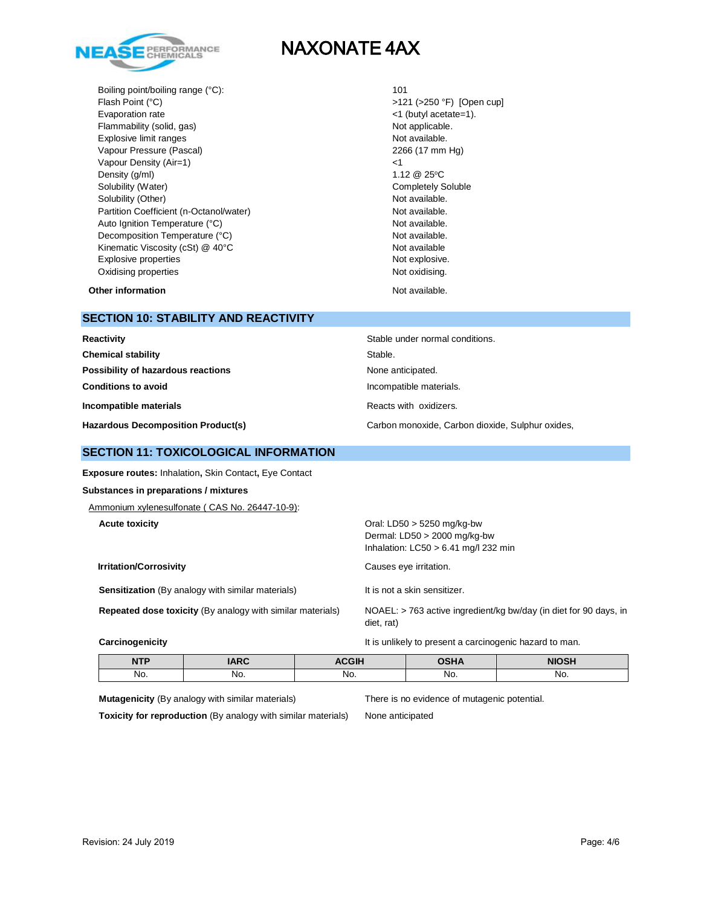

Boiling point/boiling range (°C): 101 Flash Point (°C)  $>121$  (>250 °F) [Open cup] Evaporation rate  $\leq 1$  (butyl acetate=1). Flammability (solid, gas) Not applicable. Explosive limit ranges **Not available**. Vapour Pressure (Pascal) 2266 (17 mm Hg) Vapour Density (Air=1) <1 Density  $(g/m)$  1.12  $@$  25°C Solubility (Water) **Completely Soluble** Completely Soluble Solubility (Other) Not available. Partition Coefficient (n-Octanol/water) Not available. Auto Ignition Temperature (°C) and the control of the Not available. Decomposition Temperature (°C) Not available. Kinematic Viscosity (cSt) @ 40°C Not available Not available Explosive properties Not explosive. Oxidising properties Not oxidising.

## **Other information Not available. Other information**

## **SECTION 10: STABILITY AND REACTIVITY**

| Reactivity                                | Stable under normal conditions.                  |
|-------------------------------------------|--------------------------------------------------|
| <b>Chemical stability</b>                 | Stable.                                          |
| Possibility of hazardous reactions        | None anticipated.                                |
| <b>Conditions to avoid</b>                | Incompatible materials.                          |
| Incompatible materials                    | Reacts with oxidizers.                           |
| <b>Hazardous Decomposition Product(s)</b> | Carbon monoxide, Carbon dioxide, Sulphur oxides, |

## **SECTION 11: TOXICOLOGICAL INFORMATION**

**Exposure routes:** Inhalation**,** Skin Contact**,** Eye Contact

#### **Substances in preparations / mixtures**

Ammonium xylenesulfonate ( CAS No. 26447-10-9):

**Irritation/Corrosivity Causes eye irritation.** 

**Sensitization** (By analogy with similar materials) It is not a skin sensitizer.

**Acute toxicity** Oral: LD50 > 5250 mg/kg-bw Dermal: LD50 > 2000 mg/kg-bw Inhalation: LC50 > 6.41 mg/l 232 min

**Repeated dose toxicity** (By analogy with similar materials) NOAEL: > 763 active ingredient/kg bw/day (in diet for 90 days, in diet, rat)

**Carcinogenicity Carcinogenicity It is unlikely to present a carcinogenic hazard to man.** 

| <b>NTP</b> | ADC<br>IANC | <b>ACGIH</b> | <b>OSHA</b> | <b>NIOSH</b> |
|------------|-------------|--------------|-------------|--------------|
| No.        | No.         | No.          | No.         | No.          |

**Mutagenicity** (By analogy with similar materials) There is no evidence of mutagenic potential.

**Toxicity for reproduction** (By analogy with similar materials) None anticipated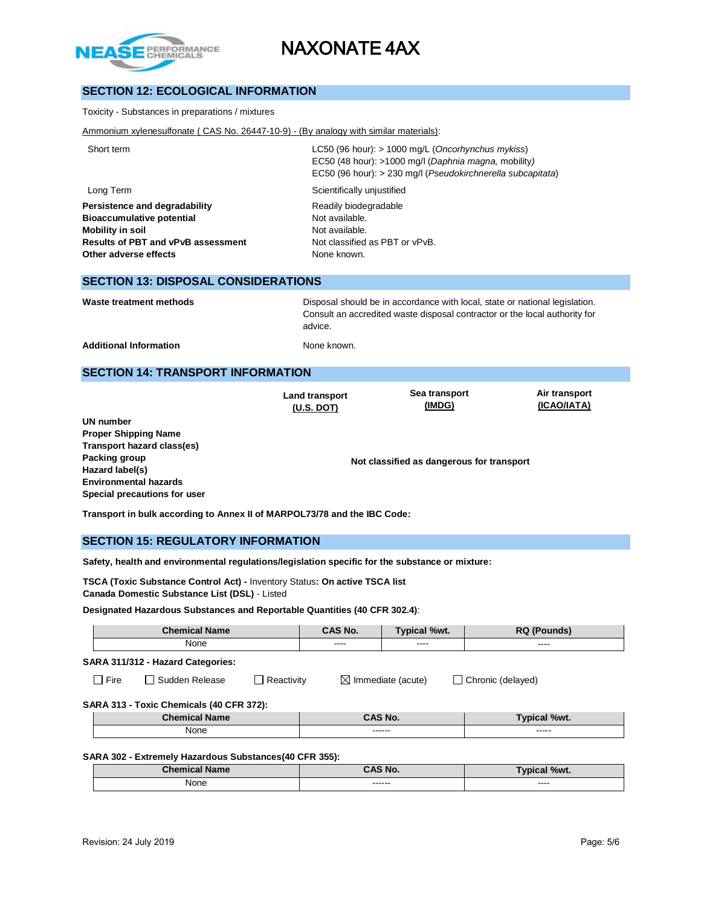

# **SECTION 12: ECOLOGICAL INFORMATION**

Toxicity - Substances in preparations / mixtures

Ammonium xylenesulfonate ( CAS No. 26447-10-9) - (By analogy with similar materials):

| Short term                                | LC50 (96 hour): $> 1000$ mg/L (Oncorhynchus mykiss)<br>EC50 (48 hour): >1000 mg/l (Daphnia magna, mobility) |
|-------------------------------------------|-------------------------------------------------------------------------------------------------------------|
|                                           | EC50 (96 hour): > 230 mg/l (Pseudokirchnerella subcapitata)                                                 |
| Long Term                                 | Scientifically unjustified                                                                                  |
| Persistence and degradability             | Readily biodegradable                                                                                       |
| <b>Bioaccumulative potential</b>          | Not available.                                                                                              |
| Mobility in soil                          | Not available.                                                                                              |
| <b>Results of PBT and vPvB assessment</b> | Not classified as PBT or vPvB.                                                                              |
| Other adverse effects                     | None known.                                                                                                 |
|                                           |                                                                                                             |

#### **SECTION 13: DISPOSAL CONSIDERATIONS**

Waste treatment methods **Disposal should be in accordance with local**, state or national legislation. Consult an accredited waste disposal contractor or the local authority for advice.

Additional Information **None known** 

## **SECTION 14: TRANSPORT INFORMATION**

**Land transport (U.S. DOT)**

**Sea transport (IMDG)**

**Air transport (ICAO/IATA)**

**UN number Proper Shipping Name Transport hazard class(es) Packing group Hazard label(s) Environmental hazards Special precautions for user**

**Not classified as dangerous for transport**

**Transport in bulk according to Annex II of MARPOL73/78 and the IBC Code:** 

### **SECTION 15: REGULATORY INFORMATION**

**Safety, health and environmental regulations/legislation specific for the substance or mixture:**

**TSCA (Toxic Substance Control Act) -** Inventory Status**: On active TSCA list Canada Domestic Substance List (DSL)** - Listed

**Designated Hazardous Substances and Reportable Quantities (40 CFR 302.4)**:

| <b>Chemical Name</b>                     |                                                                                    | CAS No.       | <b>Typical %wt.</b> | <b>RQ (Pounds)</b>  |  |
|------------------------------------------|------------------------------------------------------------------------------------|---------------|---------------------|---------------------|--|
| None                                     |                                                                                    | $\frac{1}{2}$ | $\cdots$            | ----                |  |
| SARA 311/312 - Hazard Categories:        |                                                                                    |               |                     |                     |  |
| $\Box$ Sudden Release<br>$\Box$ Fire     | $\boxtimes$ Immediate (acute)<br>Chronic (delayed)<br>Reactivity<br>$\blacksquare$ |               |                     |                     |  |
| SARA 313 - Toxic Chemicals (40 CFR 372): |                                                                                    |               |                     |                     |  |
| <b>Chemical Name</b>                     |                                                                                    |               | CAS No.             | <b>Typical %wt.</b> |  |
| None                                     |                                                                                    |               | ------              | -----               |  |
|                                          |                                                                                    |               |                     |                     |  |

#### **SARA 302 - Extremely Hazardous Substances(40 CFR 355):**

| <b>Chemical Na</b><br><b>Name</b> | AS No.            | <b>Typical %wt.</b> |
|-----------------------------------|-------------------|---------------------|
| None<br>$\sim$ $\sim$             | ------<br>------- | ----<br>_____       |